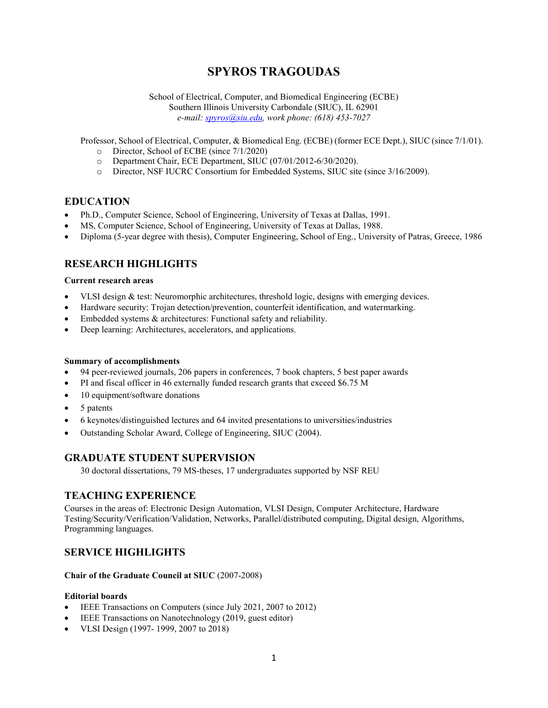# **SPYROS TRAGOUDAS**

School of Electrical, Computer, and Biomedical Engineering (ECBE) Southern Illinois University Carbondale (SIUC), IL 62901 *e-mail[: spyros@siu.edu,](mailto:spyros@siu.edu) work phone: (618) 453-7027*

Professor, School of Electrical, Computer, & Biomedical Eng. (ECBE) (former ECE Dept.), SIUC (since 7/1/01).

- o Director, School of ECBE (since 7/1/2020)
- o Department Chair, ECE Department, SIUC (07/01/2012-6/30/2020).
- o Director, NSF IUCRC Consortium for Embedded Systems, SIUC site (since 3/16/2009).

### **EDUCATION**

- Ph.D., Computer Science, School of Engineering, University of Texas at Dallas, 1991.
- MS, Computer Science, School of Engineering, University of Texas at Dallas, 1988.
- Diploma (5-year degree with thesis), Computer Engineering, School of Eng., University of Patras, Greece, 1986

# **RESEARCH HIGHLIGHTS**

#### **Current research areas**

- VLSI design & test: Neuromorphic architectures, threshold logic, designs with emerging devices.
- Hardware security: Trojan detection/prevention, counterfeit identification, and watermarking.
- Embedded systems & architectures: Functional safety and reliability.
- Deep learning: Architectures, accelerators, and applications.

#### **Summary of accomplishments**

- 94 peer-reviewed journals, 206 papers in conferences, 7 book chapters, 5 best paper awards
- PI and fiscal officer in 46 externally funded research grants that exceed \$6.75 M
- 10 equipment/software donations
- 5 patents
- 6 keynotes/distinguished lectures and 64 invited presentations to universities/industries
- Outstanding Scholar Award, College of Engineering, SIUC (2004).

### **GRADUATE STUDENT SUPERVISION**

30 doctoral dissertations, 79 MS-theses, 17 undergraduates supported by NSF REU

### **TEACHING EXPERIENCE**

Courses in the areas of: Electronic Design Automation, VLSI Design, Computer Architecture, Hardware Testing/Security/Verification/Validation, Networks, Parallel/distributed computing, Digital design, Algorithms, Programming languages.

### **SERVICE HIGHLIGHTS**

#### **Chair of the Graduate Council at SIUC** (2007-2008)

#### **Editorial boards**

- IEEE Transactions on Computers (since July 2021, 2007 to 2012)
- IEEE Transactions on Nanotechnology (2019, guest editor)
- VLSI Design (1997- 1999, 2007 to 2018)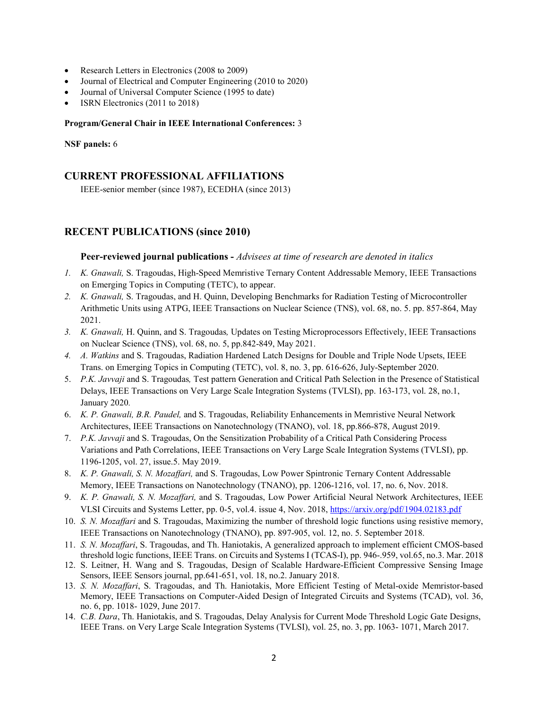- Research Letters in Electronics (2008 to 2009)
- Journal of Electrical and Computer Engineering (2010 to 2020)
- Journal of Universal Computer Science (1995 to date)
- ISRN Electronics (2011 to 2018)

#### **Program/General Chair in IEEE International Conferences:** 3

#### **NSF panels:** 6

### **CURRENT PROFESSIONAL AFFILIATIONS**

IEEE-senior member (since 1987), ECEDHA (since 2013)

## **RECENT PUBLICATIONS (since 2010)**

#### **Peer-reviewed journal publications -** *Advisees at time of research are denoted in italics*

- *1. K. Gnawali,* S. Tragoudas, High-Speed Memristive Ternary Content Addressable Memory, IEEE Transactions on Emerging Topics in Computing (TETC), to appear.
- *2. K. Gnawali,* S. Tragoudas, and H. Quinn, Developing Benchmarks for Radiation Testing of Microcontroller Arithmetic Units using ATPG, IEEE Transactions on Nuclear Science (TNS), vol. 68, no. 5. pp. 857-864, May 2021.
- *3. K. Gnawali,* H. Quinn, and S. Tragoudas*,* Updates on Testing Microprocessors Effectively, IEEE Transactions on Nuclear Science (TNS), vol. 68, no. 5, pp.842-849, May 2021.
- *4. A. Watkins* and S. Tragoudas, Radiation Hardened Latch Designs for Double and Triple Node Upsets, IEEE Trans. on Emerging Topics in Computing (TETC), vol. 8, no. 3, pp. 616-626, July-September 2020.
- 5. *P.K. Javvaji* and S. Tragoudas*,* Test pattern Generation and Critical Path Selection in the Presence of Statistical Delays, IEEE Transactions on Very Large Scale Integration Systems (TVLSI), pp. 163-173, vol. 28, no.1, January 2020*.*
- 6. *K. P. Gnawali, B.R. Paudel,* and S. Tragoudas, Reliability Enhancements in Memristive Neural Network Architectures, IEEE Transactions on Nanotechnology (TNANO), vol. 18, pp.866-878, August 2019.
- 7. *P.K. Javvaji* and S. Tragoudas, On the Sensitization Probability of a Critical Path Considering Process Variations and Path Correlations, IEEE Transactions on Very Large Scale Integration Systems (TVLSI), pp. 1196-1205, vol. 27, issue.5. May 2019.
- 8. *K. P. Gnawali, S. N. Mozaffari,* and S. Tragoudas, Low Power Spintronic Ternary Content Addressable Memory, IEEE Transactions on Nanotechnology (TNANO), pp. 1206-1216, vol. 17, no. 6, Nov. 2018.
- 9. *K. P. Gnawali, S. N. Mozaffari,* and S. Tragoudas, Low Power Artificial Neural Network Architectures, IEEE VLSI Circuits and Systems Letter, pp. 0-5, vol.4. issue 4, Nov. 2018, <https://arxiv.org/pdf/1904.02183.pdf>
- 10. *S. N. Mozaffari* and S. Tragoudas, Maximizing the number of threshold logic functions using resistive memory, IEEE Transactions on Nanotechnology (TNANO), pp. 897-905, vol. 12, no. 5. September 2018.
- 11. *S. N. Mozaffari*, S. Tragoudas, and Th. Haniotakis, A generalized approach to implement efficient CMOS-based threshold logic functions, IEEE Trans. on Circuits and Systems I (TCAS-I), pp. 946-.959, vol.65, no.3. Mar. 2018
- 12. S. Leitner, H. Wang and S. Tragoudas, Design of Scalable Hardware-Efficient Compressive Sensing Image Sensors, IEEE Sensors journal, pp.641-651, vol. 18, no.2. January 2018.
- 13. *S. N. Mozaffari*, S. Tragoudas, and Th. Haniotakis, More Efficient Testing of Metal-oxide Memristor-based Memory, IEEE Transactions on Computer-Aided Design of Integrated Circuits and Systems (TCAD), vol. 36, no. 6, pp. 1018- 1029, June 2017.
- 14. *C.B. Dara*, Th. Haniotakis, and S. Tragoudas, Delay Analysis for Current Mode Threshold Logic Gate Designs, IEEE Trans. on Very Large Scale Integration Systems (TVLSI), vol. 25, no. 3, pp. 1063- 1071, March 2017.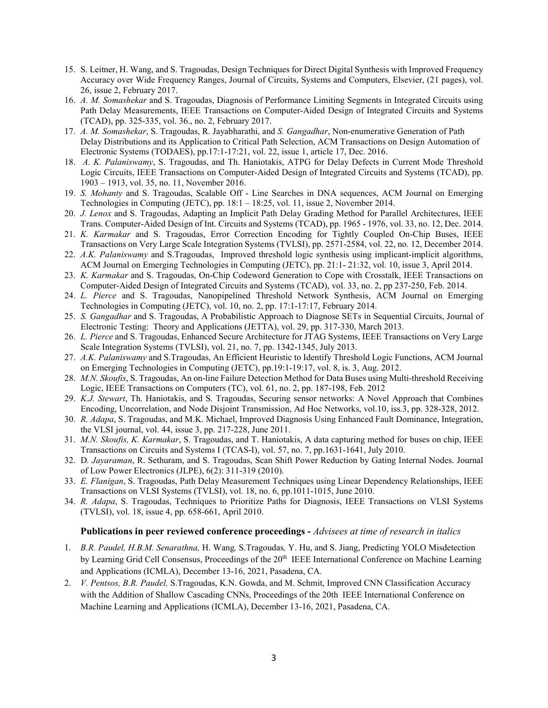- 15. S. Leitner, H. Wang, and S. Tragoudas, Design Techniques for Direct Digital Synthesis with Improved Frequency Accuracy over Wide Frequency Ranges, Journal of Circuits, Systems and Computers, Elsevier, (21 pages), vol. 26, issue 2, February 2017.
- 16. *A. M. Somashekar* and S. Tragoudas, Diagnosis of Performance Limiting Segments in Integrated Circuits using Path Delay Measurements, IEEE Transactions on Computer-Aided Design of Integrated Circuits and Systems (TCAD), pp. 325-335, vol. 36., no. 2, February 2017.
- 17. *A. M. Somashekar*, S. Tragoudas, R. Jayabharathi, and *S. Gangadhar*, Non-enumerative Generation of Path Delay Distributions and its Application to Critical Path Selection, ACM Transactions on Design Automation of Electronic Systems (TODAES), pp.17:1-17:21, vol. 22, issue 1, article 17, Dec. 2016.
- 18. *A. K. Palaniswamy*, S. Tragoudas, and Th. Haniotakis, ATPG for Delay Defects in Current Mode Threshold Logic Circuits, IEEE Transactions on Computer-Aided Design of Integrated Circuits and Systems (TCAD), pp. 1903 – 1913, vol. 35, no. 11, November 2016.
- 19. *S. Mohanty* and S. Tragoudas, Scalable Off Line Searches in DNA sequences, ACM Journal on Emerging Technologies in Computing (JETC), pp. 18:1 – 18:25, vol. 11, issue 2, November 2014.
- 20. *J. Lenox* and S. Tragoudas, Adapting an Implicit Path Delay Grading Method for Parallel Architectures, IEEE Trans. Computer-Aided Design of Int. Circuits and Systems (TCAD), pp. 1965 - 1976, vol. 33, no. 12, Dec. 2014.
- 21. *K. Karmakar* and S. Tragoudas, Error Correction Encoding for Tightly Coupled On-Chip Buses, IEEE Transactions on Very Large Scale Integration Systems (TVLSI), pp. 2571-2584, vol. 22, no. 12, December 2014.
- 22. *A.K. Palaniswamy* and S.Tragoudas, Improved threshold logic synthesis using implicant-implicit algorithms, ACM Journal on Emerging Technologies in Computing (JETC), pp. 21:1- 21:32, vol. 10, issue 3, April 2014.
- 23. *K. Karmakar* and S. Tragoudas, On-Chip Codeword Generation to Cope with Crosstalk, IEEE Transactions on Computer-Aided Design of Integrated Circuits and Systems (TCAD), vol. 33, no. 2, pp 237-250, Feb. 2014.
- 24. *L. Pierce* and S. Tragoudas, Nanopipelined Threshold Network Synthesis, ACM Journal on Emerging Technologies in Computing (JETC), vol. 10, no. 2, pp. 17:1-17:17, February 2014.
- 25. *S. Gangadhar* and S. Tragoudas, A Probabilistic Approach to Diagnose SETs in Sequential Circuits, Journal of Electronic Testing: Theory and Applications (JETTA), vol. 29, pp. 317-330, March 2013.
- 26. *L. Pierce* and S. Tragoudas, Enhanced Secure Architecture for JTAG Systems, IEEE Transactions on Very Large Scale Integration Systems (TVLSI), vol. 21, no. 7, pp. 1342-1345, July 2013.
- 27. *A.K. Palaniswamy* and S.Tragoudas, An Efficient Heuristic to Identify Threshold Logic Functions, ACM Journal on Emerging Technologies in Computing (JETC), pp.19:1-19:17, vol. 8, is. 3, Aug. 2012.
- 28. *M.N. Skoufis*, S. Tragoudas, An on-line Failure Detection Method for Data Buses using Multi-threshold Receiving Logic, IEEE Transactions on Computers (TC), vol. 61, no. 2, pp. 187-198, Feb. 2012
- 29. *K.J. Stewart*, Th. Haniotakis, and S. Tragoudas, Securing sensor networks: A Novel Approach that Combines Encoding, Uncorrelation, and Node Disjoint Transmission, Ad Hoc Networks, vol.10, iss.3, pp. 328-328, 2012.
- 30. *R. Adapa*, S. Tragoudas, and M.K. Michael, Improved Diagnosis Using Enhanced Fault Dominance, Integration, the VLSI journal, vol. 44, issue 3, pp. 217-228, June 2011.
- 31. *M.N. Skoufis, K. Karmakar*, S. Tragoudas, and T. Haniotakis, A data capturing method for buses on chip, IEEE Transactions on Circuits and Systems I (TCAS-I), vol. 57, no. 7, pp.1631-1641, July 2010.
- 32. D*. Jayaraman*, R. Sethuram, and S. Tragoudas, Scan Shift Power Reduction by Gating Internal Nodes. Journal of Low Power Electronics (JLPE), 6(2): 311-319 (2010).
- 33. *E. Flanigan*, S. Tragoudas, Path Delay Measurement Techniques using Linear Dependency Relationships, IEEE Transactions on VLSI Systems (TVLSI), vol. 18, no. 6, pp.1011-1015, June 2010.
- 34. *R. Adapa*, S. Tragoudas, Techniques to Prioritize Paths for Diagnosis, IEEE Transactions on VLSI Systems (TVLSI), vol. 18, issue 4, pp. 658-661, April 2010.

#### **Publications in peer reviewed conference proceedings -** *Advisees at time of research in italics*

- 1. *B.R. Paudel, H.B.M. Senarathna,* H. Wang*,* S.Tragoudas*,* Y. Hu, and S. Jiang, Predicting YOLO Misdetection by Learning Grid Cell Consensus, Proceedings of the 20<sup>th</sup> IEEE International Conference on Machine Learning and Applications (ICMLA), December 13-16, 2021, Pasadena, CA.
- 2. *V. Pentsos, B.R. Paudel,* S.Tragoudas, K.N. Gowda, and M. Schmit, Improved CNN Classification Accuracy with the Addition of Shallow Cascading CNNs, Proceedings of the 20th IEEE International Conference on Machine Learning and Applications (ICMLA), December 13-16, 2021, Pasadena, CA.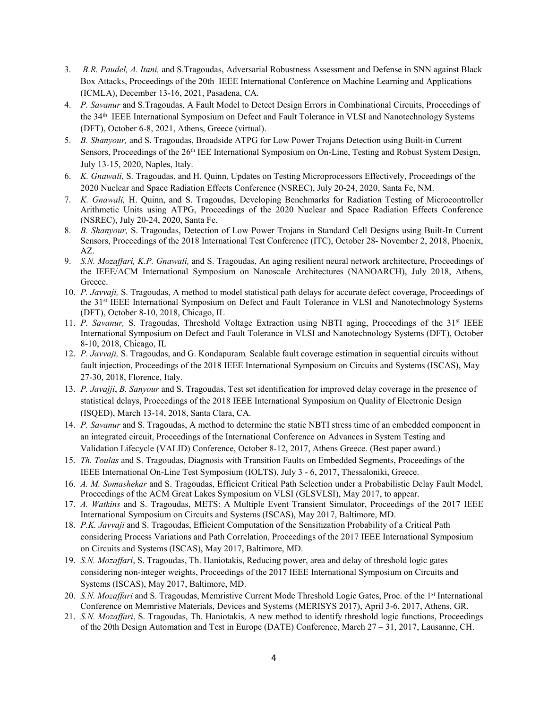- 3. *B.R. Paudel, A. Itani,* and S.Tragoudas, Adversarial Robustness Assessment and Defense in SNN against Black Box Attacks, Proceedings of the 20th IEEE International Conference on Machine Learning and Applications (ICMLA), December 13-16, 2021, Pasadena, CA.
- 4. *P. Savanur* and S.Tragoudas*,* A Fault Model to Detect Design Errors in Combinational Circuits, Proceedings of the 34th IEEE International Symposium on Defect and Fault Tolerance in VLSI and Nanotechnology Systems (DFT), October 6-8, 2021, Athens, Greece (virtual).
- 5. *B. Shanyour,* and S. Tragoudas, Broadside ATPG for Low Power Trojans Detection using Built-in Current Sensors, Proceedings of the 26<sup>th</sup> IEE International Symposium on On-Line, Testing and Robust System Design, July 13-15, 2020, Naples, Italy.
- 6. *K. Gnawali,* S. Tragoudas, and H. Quinn, Updates on Testing Microprocessors Effectively, Proceedings of the 2020 Nuclear and Space Radiation Effects Conference (NSREC), July 20-24, 2020, Santa Fe, NM.
- 7. *K. Gnawali,* H. Quinn, and S. Tragoudas, Developing Benchmarks for Radiation Testing of Microcontroller Arithmetic Units using ATPG, Proceedings of the 2020 Nuclear and Space Radiation Effects Conference (NSREC), July 20-24, 2020, Santa Fe.
- 8. *B. Shanyour,* S. Tragoudas, Detection of Low Power Trojans in Standard Cell Designs using Built-In Current Sensors, Proceedings of the 2018 International Test Conference (ITC), October 28- November 2, 2018, Phoenix, AZ.
- 9. *S.N. Mozaffari, K.P. Gnawali,* and S. Tragoudas, An aging resilient neural network architecture, Proceedings of the IEEE/ACM International Symposium on Nanoscale Architectures (NANOARCH), July 2018, Athens, Greece.
- 10. *P. Javvaji,* S. Tragoudas, A method to model statistical path delays for accurate defect coverage, Proceedings of the 31<sup>st</sup> IEEE International Symposium on Defect and Fault Tolerance in VLSI and Nanotechnology Systems (DFT), October 8-10, 2018, Chicago, IL
- 11. *P. Savanur*, S. Tragoudas, Threshold Voltage Extraction using NBTI aging, Proceedings of the 31<sup>st</sup> IEEE International Symposium on Defect and Fault Tolerance in VLSI and Nanotechnology Systems (DFT), October 8-10, 2018, Chicago, IL
- 12. *P. Javvaji,* S. Tragoudas, and G. Kondapuram*,* Scalable fault coverage estimation in sequential circuits without fault injection, Proceedings of the 2018 IEEE International Symposium on Circuits and Systems (ISCAS), May 27-30, 2018, Florence, Italy.
- 13. *P. Javajji*, *B. Sanyour* and S. Tragoudas, Test set identification for improved delay coverage in the presence of statistical delays, Proceedings of the 2018 IEEE International Symposium on Quality of Electronic Design (ISQED), March 13-14, 2018, Santa Clara, CA.
- 14. *P. Savanur* and S. Tragoudas, A method to determine the static NBTI stress time of an embedded component in an integrated circuit, Proceedings of the International Conference on Advances in System Testing and Validation Lifecycle (VALID) Conference, October 8-12, 2017, Athens Greece. (Best paper award.)
- 15. *Th. Toulas* and S. Tragoudas, Diagnosis with Transition Faults on Embedded Segments, Proceedings of the IEEE International On-Line Test Symposium (IOLTS), July 3 - 6, 2017, Thessaloniki, Greece.
- 16. *A. M. Somashekar* and S. Tragoudas, Efficient Critical Path Selection under a Probabilistic Delay Fault Model, Proceedings of the ACM Great Lakes Symposium on VLSI (GLSVLSI), May 2017, to appear.
- 17. *A. Watkins* and S. Tragoudas, METS: A Multiple Event Transient Simulator, Proceedings of the 2017 IEEE International Symposium on Circuits and Systems (ISCAS), May 2017, Baltimore, MD.
- 18. *P.K. Javvaji* and S. Tragoudas, Efficient Computation of the Sensitization Probability of a Critical Path considering Process Variations and Path Correlation, Proceedings of the 2017 IEEE International Symposium on Circuits and Systems (ISCAS), May 2017, Baltimore, MD.
- 19. *S.N. Mozaffari*, S. Tragoudas, Th. Haniotakis, Reducing power, area and delay of threshold logic gates considering non-integer weights, Proceedings of the 2017 IEEE International Symposium on Circuits and Systems (ISCAS), May 2017, Baltimore, MD.
- 20. *S.N. Mozaffari* and S. Tragoudas, Memristive Current Mode Threshold Logic Gates, Proc. of the 1st International Conference on Memristive Materials, Devices and Systems (MERISYS 2017), April 3-6, 2017, Athens, GR.
- 21. *S.N. Mozaffari*, S. Tragoudas, Th. Haniotakis, A new method to identify threshold logic functions, Proceedings of the 20th Design Automation and Test in Europe (DATE) Conference, March 27 – 31, 2017, Lausanne, CH.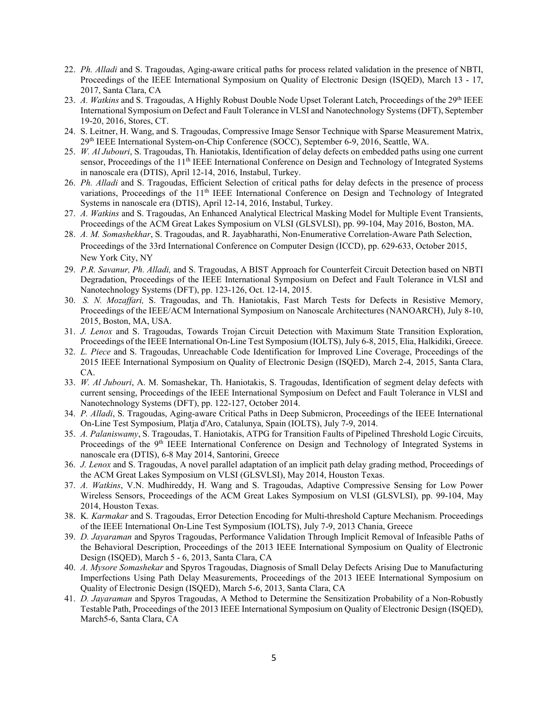- 22. *Ph. Alladi* and S. Tragoudas, Aging-aware critical paths for process related validation in the presence of NBTI, Proceedings of the IEEE International Symposium on Quality of Electronic Design (ISQED), March 13 - 17, 2017, Santa Clara, CA
- 23. *A. Watkins* and S. Tragoudas, A Highly Robust Double Node Upset Tolerant Latch, Proceedings of the 29<sup>th</sup> IEEE International Symposium on Defect and Fault Tolerance in VLSI and Nanotechnology Systems (DFT), September 19-20, 2016, Stores, CT.
- 24. S. Leitner, H. Wang, and S. Tragoudas, Compressive Image Sensor Technique with Sparse Measurement Matrix, 29th IEEE International System-on-Chip Conference (SOCC), September 6-9, 2016, Seattle, WA.
- 25. *W. Al Jubouri*, S. Tragoudas, Th. Haniotakis, Identification of delay defects on embedded paths using one current sensor, Proceedings of the 11<sup>th</sup> IEEE International Conference on Design and Technology of Integrated Systems in nanoscale era (DTIS), April 12-14, 2016, Instabul, Turkey.
- 26. *Ph. Alladi* and S. Tragoudas, Efficient Selection of critical paths for delay defects in the presence of process variations, Proceedings of the 11<sup>th</sup> IEEE International Conference on Design and Technology of Integrated Systems in nanoscale era (DTIS), April 12-14, 2016, Instabul, Turkey.
- 27. *A. Watkins* and S. Tragoudas, An Enhanced Analytical Electrical Masking Model for Multiple Event Transients, Proceedings of the ACM Great Lakes Symposium on VLSI (GLSVLSI), pp. 99-104, May 2016, Boston, MA.
- 28. *A. M. Somashekhar*, S. Tragoudas, and R. Jayabharathi, Non-Enumerative Correlation-Aware Path Selection, Proceedings of the 33rd International Conference on Computer Design (ICCD), pp. 629-633, October 2015, New York City, NY
- 29. *P.R. Savanur, Ph. Alladi,* and S. Tragoudas, A BIST Approach for Counterfeit Circuit Detection based on NBTI Degradation, Proceedings of the IEEE International Symposium on Defect and Fault Tolerance in VLSI and Nanotechnology Systems (DFT), pp. 123-126, Oct. 12-14, 2015.
- 30. *S. N. Mozaffari,* S. Tragoudas, and Th. Haniotakis, Fast March Tests for Defects in Resistive Memory, Proceedings of the IEEE/ACM International Symposium on Nanoscale Architectures (NANOARCH), July 8-10, 2015, Boston, MA, USA.
- 31. *J. Lenox* and S. Tragoudas, Towards Trojan Circuit Detection with Maximum State Transition Exploration, Proceedings of the IEEE International On-Line Test Symposium (IOLTS), July 6-8, 2015, Elia, Halkidiki, Greece.
- 32. *L. Piece* and S. Tragoudas, Unreachable Code Identification for Improved Line Coverage, Proceedings of the 2015 IEEE International Symposium on Quality of Electronic Design (ISQED), March 2-4, 2015, Santa Clara, CA.
- 33. *W. Al Jubouri*, A. M. Somashekar, Th. Haniotakis, S. Tragoudas, Identification of segment delay defects with current sensing, Proceedings of the IEEE International Symposium on Defect and Fault Tolerance in VLSI and Nanotechnology Systems (DFT), pp. 122-127, October 2014.
- 34. *P. Alladi*, S. Tragoudas, Aging-aware Critical Paths in Deep Submicron, Proceedings of the IEEE International On-Line Test Symposium, Platja d'Aro, Catalunya, Spain (IOLTS), July 7-9, 2014.
- 35. *A. Palaniswamy*, S. Tragoudas, T. Haniotakis, ATPG for Transition Faults of Pipelined Threshold Logic Circuits, Proceedings of the 9<sup>th</sup> IEEE International Conference on Design and Technology of Integrated Systems in nanoscale era (DTIS), 6-8 May 2014, Santorini, Greece
- 36. *J. Lenox* and S. Tragoudas, A novel parallel adaptation of an implicit path delay grading method, Proceedings of the ACM Great Lakes Symposium on VLSI (GLSVLSI), May 2014, Houston Texas.
- 37. *A. Watkins*, V.N. Mudhireddy, H. Wang and S. Tragoudas, Adaptive Compressive Sensing for Low Power Wireless Sensors, Proceedings of the ACM Great Lakes Symposium on VLSI (GLSVLSI), pp. 99-104, May 2014, Houston Texas.
- 38. K*. Karmakar* and S. Tragoudas, Error Detection Encoding for Multi-threshold Capture Mechanism. Proceedings of the IEEE International On-Line Test Symposium (IOLTS), July 7-9, 2013 Chania, Greece
- 39. *D. Jayaraman* and Spyros Tragoudas, Performance Validation Through Implicit Removal of Infeasible Paths of the Behavioral Description, Proceedings of the 2013 IEEE International Symposium on Quality of Electronic Design (ISQED), March 5 - 6, 2013, Santa Clara, CA
- 40. *A. Mysore Somashekar* and Spyros Tragoudas, Diagnosis of Small Delay Defects Arising Due to Manufacturing Imperfections Using Path Delay Measurements, Proceedings of the 2013 IEEE International Symposium on Quality of Electronic Design (ISQED), March 5-6, 2013, Santa Clara, CA
- 41. *D. Jayaraman* and Spyros Tragoudas, A Method to Determine the Sensitization Probability of a Non-Robustly Testable Path, Proceedings of the 2013 IEEE International Symposium on Quality of Electronic Design (ISQED), March5-6, Santa Clara, CA